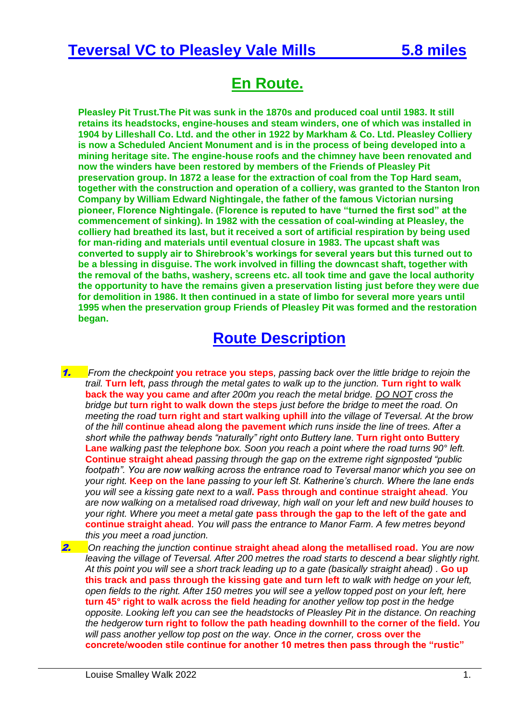## **Teversal VC to Pleasley Vale Mills 5.8 miles**

## **En Route.**

**Pleasley Pit Trust.The Pit was sunk in the 1870s and produced coal until 1983. It still retains its headstocks, engine-houses and steam winders, one of which was installed in 1904 by Lilleshall Co. Ltd. and the other in 1922 by Markham & Co. Ltd. Pleasley Colliery is now a Scheduled Ancient Monument and is in the process of being developed into a mining heritage site. The engine-house roofs and the chimney have been renovated and now the winders have been restored by members of the Friends of Pleasley Pit preservation group. In 1872 a lease for the extraction of coal from the Top Hard seam, together with the construction and operation of a colliery, was granted to the Stanton Iron Company by William Edward Nightingale, the father of the famous Victorian nursing pioneer, Florence Nightingale. (Florence is reputed to have "turned the first sod" at the commencement of sinking). In 1982 with the cessation of coal-winding at Pleasley, the colliery had breathed its last, but it received a sort of artificial respiration by being used for man-riding and materials until eventual closure in 1983. The upcast shaft was converted to supply air to Shirebrook's workings for several years but this turned out to be a blessing in disguise. The work involved in filling the downcast shaft, together with the removal of the baths, washery, screens etc. all took time and gave the local authority the opportunity to have the remains given a preservation listing just before they were due for demolition in 1986. It then continued in a state of limbo for several more years until 1995 when the preservation group Friends of Pleasley Pit was formed and the restoration began.**

## **Route Description**

- 1. *From the checkpoint* **you retrace you steps***, passing back over the little bridge to rejoin the trail.* **Turn left***, pass through the metal gates to walk up to the junction.* **Turn right to walk back the way you came** *and after 200m you reach the metal bridge. DO NOT cross the bridge but* **turn right to walk down the steps** *just before the bridge to meet the road. On meeting the road* **turn right and start walking uphill** *into the village of Teversal. At the brow of the hill* **continue ahead along the pavement** *which runs inside the line of trees. After a short while the pathway bends "naturally" right onto Buttery lane.* **Turn right onto Buttery Lane** *walking past the telephone box. Soon you reach a point where the road turns 90° left.*  **Continue straight ahead** *passing through the gap on the extreme right signposted "public footpath". You are now walking across the entrance road to Teversal manor which you see on your right.* **Keep on the lane** *passing to your left St. Katherine's church. Where the lane ends you will see a kissing gate next to a wall***. Pass through and continue straight ahead***. You are now walking on a metalised road driveway, high wall on your left and new build houses to your right. Where you meet a metal gate* **pass through the gap to the left of the gate and continue straight ahead***. You will pass the entrance to Manor Farm. A few metres beyond this you meet a road junction.*
- 2. *On reaching the junction* **continue straight ahead along the metallised road.** *You are now leaving the village of Teversal. After 200 metres the road starts to descend a bear slightly right. At this point you will see a short track leading up to a gate (basically straight ahead) .* **Go up this track and pass through the kissing gate and turn left** *to walk with hedge on your left, open fields to the right. After 150 metres you will see a yellow topped post on your left, here* **turn 45° right to walk across the field** *heading for another yellow top post in the hedge opposite. Looking left you can see the headstocks of Pleasley Pit in the distance. On reaching the hedgerow* **turn right to follow the path heading downhill to the corner of the field.** *You will pass another yellow top post on the way. Once in the corner,* **cross over the concrete/wooden stile continue for another 10 metres then pass through the "rustic"**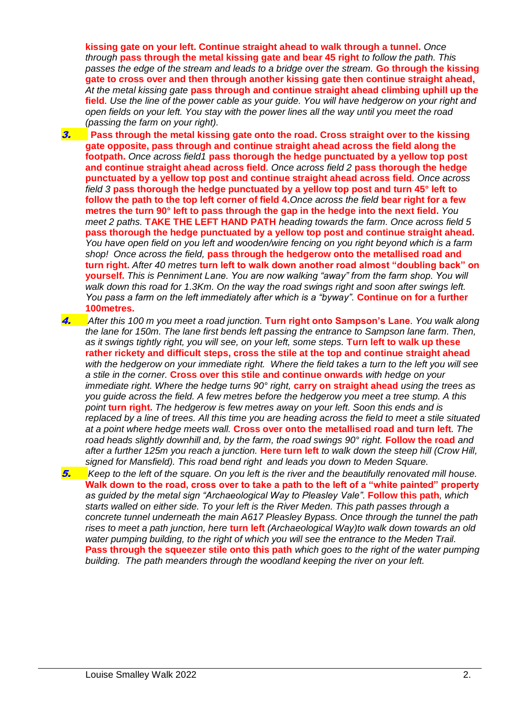**kissing gate on your left. Continue straight ahead to walk through a tunnel.** *Once through* **pass through the metal kissing gate and bear 45 right** *to follow the path. This passes the edge of the stream and leads to a bridge over the stream.* **Go through the kissing gate to** *c***ross over and then through another kissing gate then continue straight ahead,** *At the metal kissing gate* **pass through and continue straight ahead climbing uphill up the field***. Use the line of the power cable as your guide. You will have hedgerow on your right and open fields on your left. You stay with the power lines all the way until you meet the road (passing the farm on your right).*

- 3. **Pass through the metal kissing gate onto the road. Cross straight over to the kissing gate opposite, pass through and continue straight ahead across the field along the footpath.** *Once across field1* **pass thorough the hedge punctuated by a yellow top post and continue straight ahead across field***. Once across field 2* **pass thorough the hedge punctuated by a yellow top post and continue straight ahead across field***. Once across field 3* **pass thorough the hedge punctuated by a yellow top post and turn 45° left to follow the path to the top left corner of field 4.***Once across the field* **bear right for a few metres the turn 90° left to pass through the gap in the hedge into the next field.** *You meet 2 paths.* **TAKE THE LEFT HAND PATH** *heading towards the farm. Once across field 5*  **pass thorough the hedge punctuated by a yellow top post and continue straight ahead.** *You have open field on you left and wooden/wire fencing on you right beyond which is a farm shop! Once across the field,* **pass through the hedgerow onto the metallised road and turn right.** *After 40 metres* **turn left to walk down another road almost "doubling back" on yourself.** *This is Penniment Lane. You are now walking "away" from the farm shop. You will walk down this road for 1.3Km. On the way the road swings right and soon after swings left. You pass a farm on the left immediately after which is a "byway".* **Continue on for a further 100metres.**
- 4. *After this 100 m you meet a road junction.* **Turn right onto Sampson's Lane***. You walk along the lane for 150m. The lane first bends left passing the entrance to Sampson lane farm. Then, as it swings tightly right, you will see, on your left, some steps.* **Turn left to walk up these rather rickety and difficult steps, cross the stile at the top and continue straight ahead** *with the hedgerow on your immediate right. Where the field takes a turn to the left you will see a stile in the corner.* **Cross over this stile and continue onwards** *with hedge on your immediate right. Where the hedge turns 90° right,* **carry on straight ahead** *using the trees as you guide across the field. A few metres before the hedgerow you meet a tree stump. A this point* **turn right.** *The hedgerow is few metres away on your left. Soon this ends and is replaced by a line of trees. All this time you are heading across the field to meet a stile situated at a point where hedge meets wall.* **Cross over onto the metallised road and turn left***. The road heads slightly downhill and, by the farm, the road swings 90° right.* **Follow the road** *and after a further 125m you reach a junction.* **Here turn left** *to walk down the steep hill (Crow Hill, signed for Mansfield). This road bend right and leads you down to Meden Square.*
- 5. *Keep to the left of the square. On you left is the river and the beautifully renovated mill house.*  **Walk down to the road, cross over to take a path to the left of a "white painted" property**  *as guided by the metal sign "Archaeological Way to Pleasley Vale".* **Follow this path***, which starts walled on either side. To your left is the River Meden. This path passes through a concrete tunnel underneath the main A617 Pleasley Bypass. Once through the tunnel the path rises to meet a path junction, here* **turn left** *(Archaeological Way)to walk down towards an old water pumping building, to the right of which you will see the entrance to the Meden Trail.*  **Pass through the squeezer stile onto this path** *which goes to the right of the water pumping building. The path meanders through the woodland keeping the river on your left.*